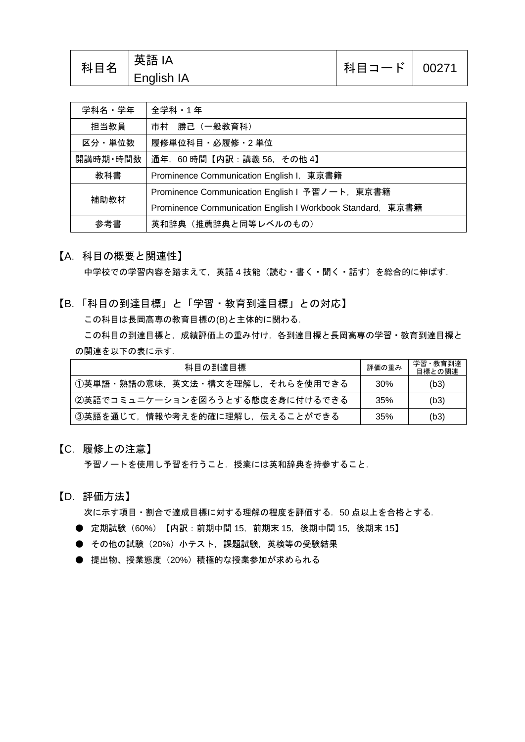| 学科名・学年   | 全学科・1年                                                     |  |  |
|----------|------------------------------------------------------------|--|--|
| 担当教員     | 市村 勝己 (一般教育科)                                              |  |  |
| 区分・単位数   | 履修単位科目・必履修・2 単位                                            |  |  |
| 開講時期・時間数 | 通年, 60時間【内訳:講義 56, その他 4】                                  |  |  |
| 教科書      | Prominence Communication English I, 東京書籍                   |  |  |
| 補助教材     | Prominence Communication English I 予習ノート,東京書籍              |  |  |
|          | Prominence Communication English I Workbook Standard, 東京書籍 |  |  |
| 参考書      | 英和辞典 (推薦辞典と同等レベルのもの)                                       |  |  |

【A.科目の概要と関連性】

中学校での学習内容を踏まえて,英語 4 技能(読む・書く・聞く・話す)を総合的に伸ばす.

【B.「科目の到達目標」と「学習・教育到達目標」との対応】 この科目は長岡高専の教育目標の(B)と主体的に関わる. この科目の到達目標と,成績評価上の重み付け,各到達目標と長岡高専の学習・教育到達目標と の関連を以下の表に示す.

| 科目の到達目標                         | 評価の重み | 学習・教育到達<br>目標との関連 |
|---------------------------------|-------|-------------------|
| ⑴英単語・熟語の意味,英文法・構文を理解し,それらを使用できる | 30%   | (b3)              |
| ②英語でコミュニケーションを図ろうとする態度を身に付けるできる | 35%   | (b3)              |
| 3英語を通じて、情報や考えを的確に理解し、伝えることができる  | 35%   | (b3)              |

【C.履修上の注意】

予習ノートを使用し予習を行うこと. 授業には英和辞典を持参すること.

【D.評価方法】

次に示す項目・割合で達成目標に対する理解の程度を評価する.50 点以上を合格とする.

- 定期試験 (60%) 【内訳:前期中間 15, 前期末 15, 後期中間 15, 後期末 15】
- その他の試験 (20%) 小テスト,課題試験,英検等の受験結果
- 提出物、授業態度(20%)積極的な授業参加が求められる